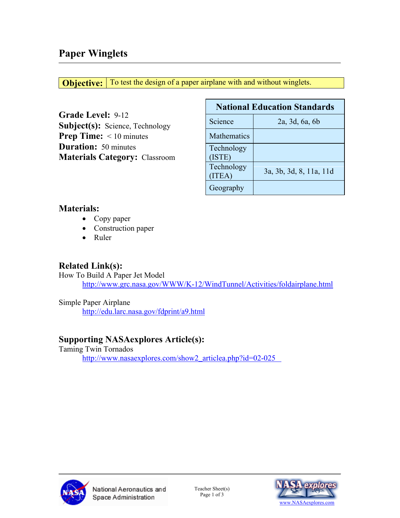**Objective:** To test the design of a paper airplane with and without winglets.

**Grade Level:** 9-12 **Subject(s):** Science, Technology **Prep Time:**  $\leq 10$  minutes **Duration:** 50 minutes **Materials Category:** Classroom

| <b>National Education Standards</b> |                         |  |  |  |
|-------------------------------------|-------------------------|--|--|--|
| Science                             | 2a, 3d, 6a, 6b          |  |  |  |
| <b>Mathematics</b>                  |                         |  |  |  |
| Technology<br>(ISTE)                |                         |  |  |  |
| Technology<br>(ITER)                | 3a, 3b, 3d, 8, 11a, 11d |  |  |  |
| Geography                           |                         |  |  |  |

### **Materials:**

- Copy paper
- Construction paper
- Ruler

# **Related Link(s):**

How To Build A Paper Jet Model <http://www.grc.nasa.gov/WWW/K-12/WindTunnel/Activities/foldairplane.html>

Simple Paper Airplane <http://edu.larc.nasa.gov/fdprint/a9.html>

# **Supporting NASAexplores Article(s):**

Taming Twin Tornados [http://www.nasaexplores.com/show2\\_articlea.php?id=02-025](http://www.nasaexplores.com/show2_articlea.php?id=02-025)



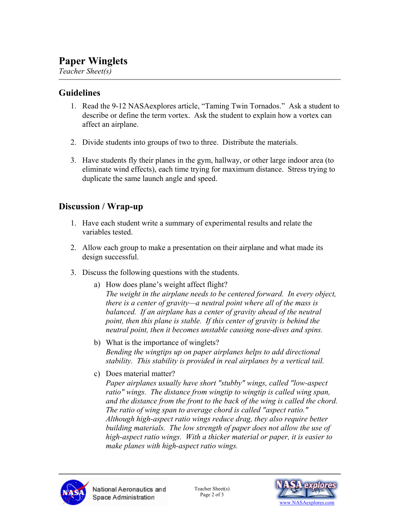# **Paper Winglets**

*Teacher Sheet(s)*

#### **Guidelines**

- 1. Read the 9-12 NASAexplores article, "Taming Twin Tornados." Ask a student to describe or define the term vortex. Ask the student to explain how a vortex can affect an airplane.
- 2. Divide students into groups of two to three. Distribute the materials.
- 3. Have students fly their planes in the gym, hallway, or other large indoor area (to eliminate wind effects), each time trying for maximum distance. Stress trying to duplicate the same launch angle and speed.

# **Discussion / Wrap-up**

- 1. Have each student write a summary of experimental results and relate the variables tested.
- 2. Allow each group to make a presentation on their airplane and what made its design successful.
- 3. Discuss the following questions with the students.
	- a) How does plane's weight affect flight? *The weight in the airplane needs to be centered forward. In every object, there is a center of gravity—a neutral point where all of the mass is balanced. If an airplane has a center of gravity ahead of the neutral point, then this plane is stable. If this center of gravity is behind the neutral point, then it becomes unstable causing nose-dives and spins.*
	- b) What is the importance of winglets? *Bending the wingtips up on paper airplanes helps to add directional stability. This stability is provided in real airplanes by a vertical tail.*
	- c) Does material matter?

*Paper airplanes usually have short "stubby" wings, called "low-aspect ratio" wings. The distance from wingtip to wingtip is called wing span, and the distance from the front to the back of the wing is called the chord. The ratio of wing span to average chord is called "aspect ratio." Although high-aspect ratio wings reduce drag, they also require better building materials. The low strength of paper does not allow the use of high-aspect ratio wings. With a thicker material or paper, it is easier to make planes with high-aspect ratio wings.* 



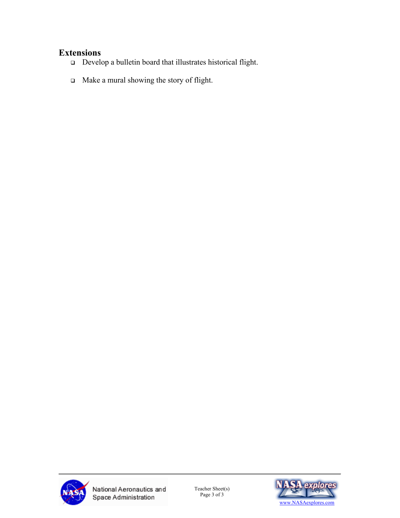# **Extensions**

- Develop a bulletin board that illustrates historical flight.
- Make a mural showing the story of flight.



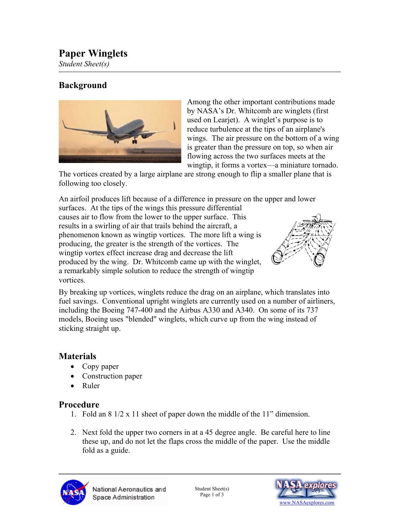# **Paper Winglets**

*Student Sheet(s)*

### **Background**



Among the other important contributions made by NASA's Dr. Whitcomb are winglets (first used on Learjet). A winglet's purpose is to reduce turbulence at the tips of an airplane's wings. The air pressure on the bottom of a wing is greater than the pressure on top, so when air flowing across the two surfaces meets at the wingtip, it forms a vortex—a miniature tornado.

The vortices created by a large airplane are strong enough to flip a smaller plane that is following too closely.

An airfoil produces lift because of a difference in pressure on the upper and lower surfaces. At the tips of the wings this pressure differential causes air to flow from the lower to the upper surface. This results in a swirling of air that trails behind the aircraft, a phenomenon known as wingtip vortices. The more lift a wing is producing, the greater is the strength of the vortices. The wingtip vortex effect increase drag and decrease the lift produced by the wing. Dr. Whitcomb came up with the winglet, a remarkably simple solution to reduce the strength of wingtip vortices.



By breaking up vortices, winglets reduce the drag on an airplane, which translates into fuel savings. Conventional upright winglets are currently used on a number of airliners, including the Boeing 747-400 and the Airbus A330 and A340. On some of its 737 models, Boeing uses "blended" winglets, which curve up from the wing instead of sticking straight up.

#### **Materials**

- Copy paper
- Construction paper
- Ruler

### **Procedure**

- 1. Fold an 8 1/2 x 11 sheet of paper down the middle of the 11" dimension.
- 2. Next fold the upper two corners in at a 45 degree angle. Be careful here to line these up, and do not let the flaps cross the middle of the paper. Use the middle fold as a guide.



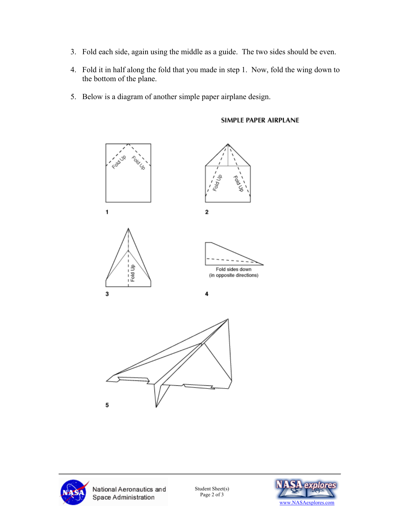- 3. Fold each side, again using the middle as a guide. The two sides should be even.
- 4. Fold it in half along the fold that you made in step 1. Now, fold the wing down to the bottom of the plane.
- 5. Below is a diagram of another simple paper airplane design.







National Aeronautics and Space Administration

Student Sheet(s)<br>Page 2 of 3